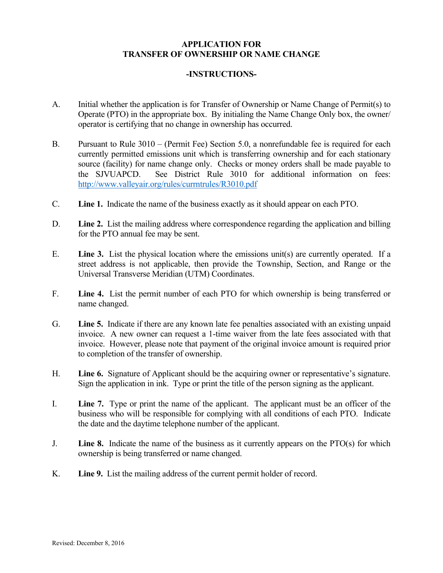## **APPLICATION FOR TRANSFER OF OWNERSHIP OR NAME CHANGE**

## **-INSTRUCTIONS-**

- A. Initial whether the application is for Transfer of Ownership or Name Change of Permit(s) to Operate (PTO) in the appropriate box. By initialing the Name Change Only box, the owner/ operator is certifying that no change in ownership has occurred.
- B. Pursuant to Rule 3010 (Permit Fee) Section 5.0, a nonrefundable fee is required for each currently permitted emissions unit which is transferring ownership and for each stationary source (facility) for name change only. Checks or money orders shall be made payable to the SJVUAPCD. See District Rule 3010 for additional information on fees: http://www.valleyair.org/rules/currntrules/R3010.pdf
- C. **Line 1.** Indicate the name of the business exactly as it should appear on each PTO.
- D. **Line 2.** List the mailing address where correspondence regarding the application and billing for the PTO annual fee may be sent.
- E. **Line 3.** List the physical location where the emissions unit(s) are currently operated. If a street address is not applicable, then provide the Township, Section, and Range or the Universal Transverse Meridian (UTM) Coordinates.
- F. **Line 4.** List the permit number of each PTO for which ownership is being transferred or name changed.
- G. **Line 5.** Indicate if there are any known late fee penalties associated with an existing unpaid invoice. A new owner can request a 1-time waiver from the late fees associated with that invoice. However, please note that payment of the original invoice amount is required prior to completion of the transfer of ownership.
- H. **Line 6.** Signature of Applicant should be the acquiring owner or representative's signature. Sign the application in ink. Type or print the title of the person signing as the applicant.
- I. **Line 7.** Type or print the name of the applicant. The applicant must be an officer of the business who will be responsible for complying with all conditions of each PTO. Indicate the date and the daytime telephone number of the applicant.
- J. **Line 8.** Indicate the name of the business as it currently appears on the PTO(s) for which ownership is being transferred or name changed.
- K. **Line 9.** List the mailing address of the current permit holder of record.